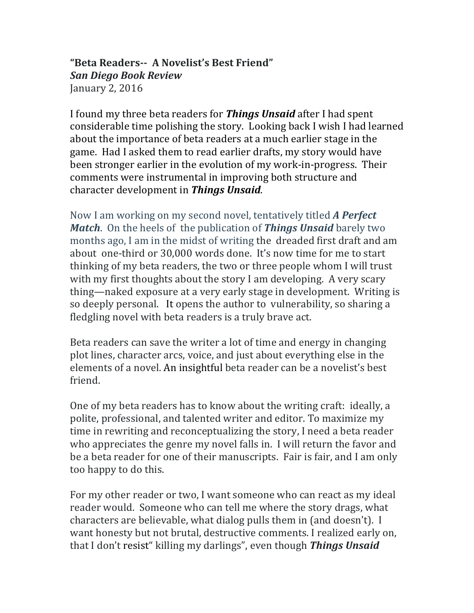# "Beta Readers-- A Novelist's Best Friend" *San Diego Book Review* January 2, 2016

I found my three beta readers for **Things Unsaid** after I had spent considerable time polishing the story. Looking back I wish I had learned about the importance of beta readers at a much earlier stage in the game. Had I asked them to read earlier drafts, my story would have been stronger earlier in the evolution of my work-in-progress. Their comments were instrumental in improving both structure and character development in *Things Unsaid*.

Now I am working on my second novel, tentatively titled **A Perfect** *Match*. On the heels of the publication of *Things Unsaid* barely two months ago, I am in the midst of writing the dreaded first draft and am about one-third or 30,000 words done. It's now time for me to start thinking of my beta readers, the two or three people whom I will trust with my first thoughts about the story I am developing. A very scary thing—naked exposure at a very early stage in development. Writing is so deeply personal. It opens the author to vulnerability, so sharing a fledgling novel with beta readers is a truly brave act.

Beta readers can save the writer a lot of time and energy in changing plot lines, character arcs, voice, and just about everything else in the elements of a novel. An insightful beta reader can be a novelist's best friend. 

One of my beta readers has to know about the writing craft: ideally, a polite, professional, and talented writer and editor. To maximize my time in rewriting and reconceptualizing the story, I need a beta reader who appreciates the genre my novel falls in. I will return the favor and be a beta reader for one of their manuscripts. Fair is fair, and I am only too happy to do this.

For my other reader or two, I want someone who can react as my ideal reader would. Someone who can tell me where the story drags, what characters are believable, what dialog pulls them in (and doesn't). I want honesty but not brutal, destructive comments. I realized early on, that I don't resist" killing my darlings", even though **Things Unsaid**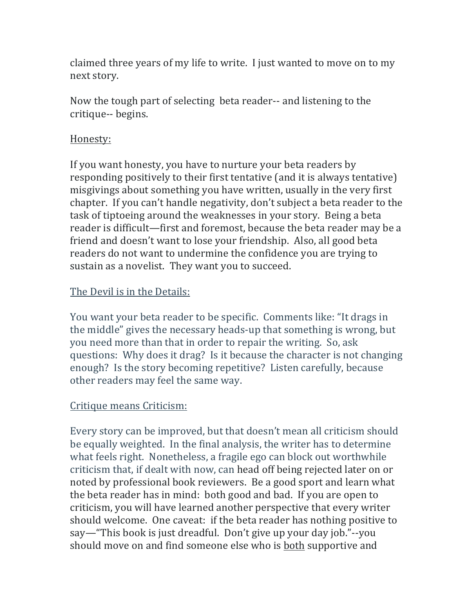claimed three years of my life to write. I just wanted to move on to my next story.

Now the tough part of selecting beta reader-- and listening to the critique-- begins.

### Honesty:

If you want honesty, you have to nurture your beta readers by responding positively to their first tentative (and it is always tentative) misgivings about something you have written, usually in the very first chapter. If you can't handle negativity, don't subject a beta reader to the task of tiptoeing around the weaknesses in your story. Being a beta reader is difficult—first and foremost, because the beta reader may be a friend and doesn't want to lose your friendship. Also, all good beta readers do not want to undermine the confidence you are trying to sustain as a novelist. They want you to succeed.

# The Devil is in the Details:

You want your beta reader to be specific. Comments like: "It drags in the middle" gives the necessary heads-up that something is wrong, but you need more than that in order to repair the writing. So, ask questions: Why does it drag? Is it because the character is not changing enough? Is the story becoming repetitive? Listen carefully, because other readers may feel the same way.

# Critique means Criticism:

Every story can be improved, but that doesn't mean all criticism should be equally weighted. In the final analysis, the writer has to determine what feels right. Nonetheless, a fragile ego can block out worthwhile criticism that, if dealt with now, can head off being rejected later on or noted by professional book reviewers. Be a good sport and learn what the beta reader has in mind: both good and bad. If you are open to criticism, you will have learned another perspective that every writer should welcome. One caveat: if the beta reader has nothing positive to say—"This book is just dreadful. Don't give up your day job."--you should move on and find someone else who is both supportive and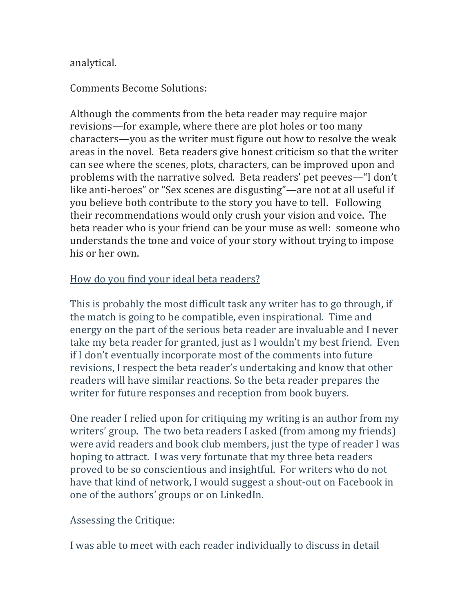#### analytical.

### Comments Become Solutions:

Although the comments from the beta reader may require major revisions—for example, where there are plot holes or too many characters—you as the writer must figure out how to resolve the weak areas in the novel. Beta readers give honest criticism so that the writer can see where the scenes, plots, characters, can be improved upon and problems with the narrative solved. Beta readers' pet peeves—"I don't like anti-heroes" or "Sex scenes are disgusting"—are not at all useful if you believe both contribute to the story you have to tell. Following their recommendations would only crush your vision and voice. The beta reader who is your friend can be your muse as well: someone who understands the tone and voice of your story without trying to impose his or her own.

### How do you find your ideal beta readers?

This is probably the most difficult task any writer has to go through, if the match is going to be compatible, even inspirational. Time and energy on the part of the serious beta reader are invaluable and I never take my beta reader for granted, just as I wouldn't my best friend. Even if I don't eventually incorporate most of the comments into future revisions, I respect the beta reader's undertaking and know that other readers will have similar reactions. So the beta reader prepares the writer for future responses and reception from book buyers.

One reader I relied upon for critiquing my writing is an author from my writers' group. The two beta readers I asked (from among my friends) were avid readers and book club members, just the type of reader I was hoping to attract. I was very fortunate that my three beta readers proved to be so conscientious and insightful. For writers who do not have that kind of network, I would suggest a shout-out on Facebook in one of the authors' groups or on LinkedIn.

#### Assessing the Critique:

I was able to meet with each reader individually to discuss in detail